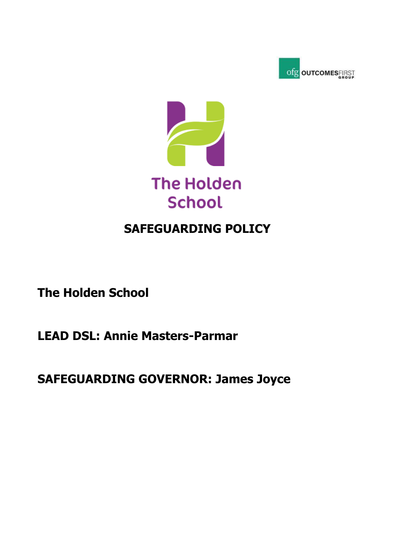



# **SAFEGUARDING POLICY**

**The Holden School**

**LEAD DSL: Annie Masters-Parmar**

**SAFEGUARDING GOVERNOR: James Joyce**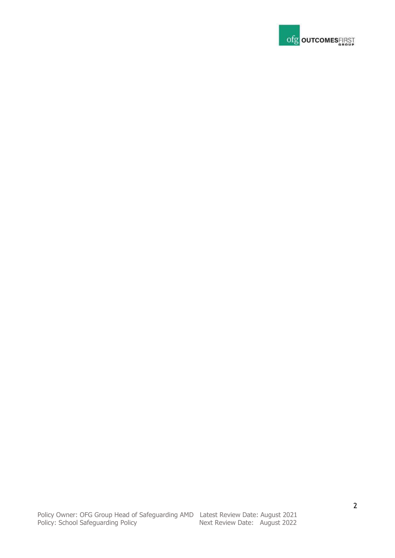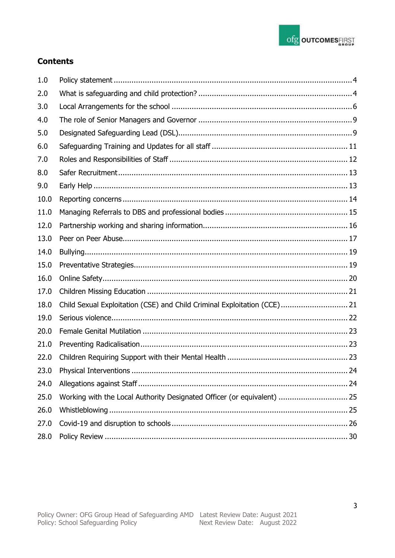

## **Contents**

| 1.0  |                                                                          |
|------|--------------------------------------------------------------------------|
| 2.0  |                                                                          |
| 3.0  |                                                                          |
| 4.0  |                                                                          |
| 5.0  |                                                                          |
| 6.0  |                                                                          |
| 7.0  |                                                                          |
| 8.0  |                                                                          |
| 9.0  |                                                                          |
| 10.0 |                                                                          |
| 11.0 |                                                                          |
| 12.0 |                                                                          |
| 13.0 |                                                                          |
| 14.0 |                                                                          |
| 15.0 |                                                                          |
| 16.0 |                                                                          |
| 17.0 |                                                                          |
| 18.0 | Child Sexual Exploitation (CSE) and Child Criminal Exploitation (CCE) 21 |
| 19.0 |                                                                          |
| 20.0 |                                                                          |
| 21.0 |                                                                          |
| 22.0 |                                                                          |
| 23.0 |                                                                          |
| 24.0 |                                                                          |
| 25.0 | Working with the Local Authority Designated Officer (or equivalent)  25  |
| 26.0 |                                                                          |
| 27.0 |                                                                          |
| 28.0 |                                                                          |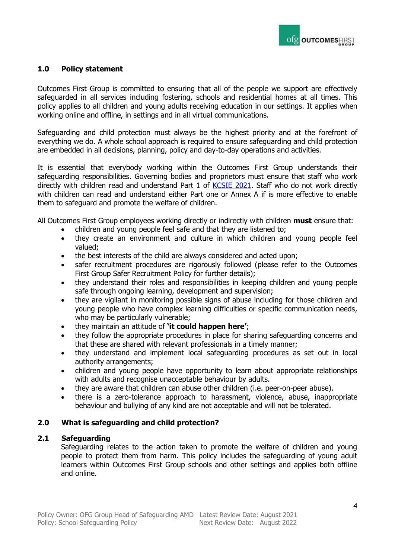## <span id="page-3-0"></span>**1.0 Policy statement**

Outcomes First Group is committed to ensuring that all of the people we support are effectively safeguarded in all services including fostering, schools and residential homes at all times. This policy applies to all children and young adults receiving education in our settings. It applies when working online and offline, in settings and in all virtual communications.

Safeguarding and child protection must always be the highest priority and at the forefront of everything we do. A whole school approach is required to ensure safeguarding and child protection are embedded in all decisions, planning, policy and day-to-day operations and activities.

It is essential that everybody working within the Outcomes First Group understands their safeguarding responsibilities. Governing bodies and proprietors must ensure that staff who work directly with children read and understand Part 1 of [KCSIE 2021.](https://assets.publishing.service.gov.uk/government/uploads/system/uploads/attachment_data/file/999348/Keeping_children_safe_in_education_2021.pdf) Staff who do not work directly with children can read and understand either Part one or Annex A if is more effective to enable them to safeguard and promote the welfare of children.

All Outcomes First Group employees working directly or indirectly with children **must** ensure that:

- children and young people feel safe and that they are listened to;
- they create an environment and culture in which children and young people feel valued;
- the best interests of the child are always considered and acted upon;
- safer recruitment procedures are rigorously followed (please refer to the Outcomes First Group Safer Recruitment Policy for further details);
- they understand their roles and responsibilities in keeping children and young people safe through ongoing learning, development and supervision;
- they are vigilant in monitoring possible signs of abuse including for those children and young people who have complex learning difficulties or specific communication needs, who may be particularly vulnerable;
- they maintain an attitude of **'it could happen here'**;
- they follow the appropriate procedures in place for sharing safeguarding concerns and that these are shared with relevant professionals in a timely manner;
- they understand and implement local safeguarding procedures as set out in local authority arrangements;
- children and young people have opportunity to learn about appropriate relationships with adults and recognise unacceptable behaviour by adults.
- they are aware that children can abuse other children (i.e. peer-on-peer abuse).
- there is a zero-tolerance approach to harassment, violence, abuse, inappropriate behaviour and bullying of any kind are not acceptable and will not be tolerated.

## <span id="page-3-1"></span>**2.0 What is safeguarding and child protection?**

#### **2.1 Safeguarding**

Safeguarding relates to the action taken to promote the welfare of children and young people to protect them from harm. This policy includes the safeguarding of young adult learners within Outcomes First Group schools and other settings and applies both offline and online.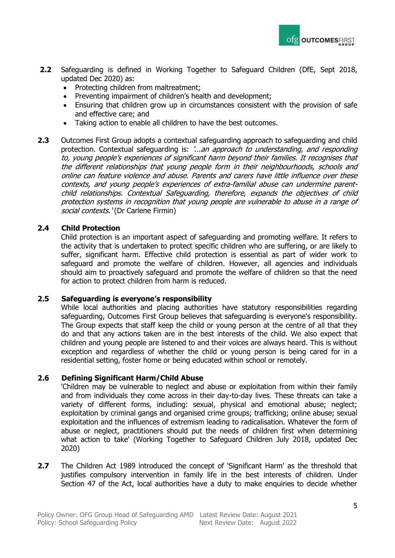

- **2.2** Safeguarding is defined in Working Together to Safeguard Children (DfE, Sept 2018, updated Dec 2020) as:
	- Protecting children from maltreatment:
	- Preventing impairment of children's health and development;
	- Ensuring that children grow up in circumstances consistent with the provision of safe and effective care; and
	- Taking action to enable all children to have the best outcomes.
- **2.3** Outcomes First Group adopts a contextual safeguarding approach to safeguarding and child protection. Contextual safeguarding is: '...an approach to understanding, and responding to, young people's experiences of significant harm beyond their families. It recognises that the different relationships that young people form in their neighbourhoods, schools and online can feature violence and abuse. Parents and carers have little influence over these contexts, and young people's experiences of extra-familial abuse can undermine parentchild relationships. Contextual Safeguarding, therefore, expands the objectives of child protection systems in recognition that young people are vulnerable to abuse in a range of social contexts.' (Dr Carlene Firmin)

## **2.4 Child Protection**

Child protection is an important aspect of safeguarding and promoting welfare. It refers to the activity that is undertaken to protect specific children who are suffering, or are likely to suffer, significant harm. Effective child protection is essential as part of wider work to safeguard and promote the welfare of children. However, all agencies and individuals should aim to proactively safeguard and promote the welfare of children so that the need for action to protect children from harm is reduced.

#### **2.5 Safeguarding is everyone's responsibility**

While local authorities and placing authorities have statutory responsibilities regarding safeguarding, Outcomes First Group believes that safeguarding is everyone's responsibility. The Group expects that staff keep the child or young person at the centre of all that they do and that any actions taken are in the best interests of the child. We also expect that children and young people are listened to and their voices are always heard. This is without exception and regardless of whether the child or young person is being cared for in a residential setting, foster home or being educated within school or remotely.

#### **2.6 Defining Significant Harm/Child Abuse**

'Children may be vulnerable to neglect and abuse or exploitation from within their family and from individuals they come across in their day-to-day lives. These threats can take a variety of different forms, including: sexual, physical and emotional abuse; neglect; exploitation by criminal gangs and organised crime groups; trafficking; online abuse; sexual exploitation and the influences of extremism leading to radicalisation. Whatever the form of abuse or neglect, practitioners should put the needs of children first when determining what action to take' (Working Together to Safeguard Children July 2018, updated Dec 2020)

**2.7** The Children Act 1989 introduced the concept of 'Significant Harm' as the threshold that justifies compulsory intervention in family life in the best interests of children. Under Section 47 of the Act, local authorities have a duty to make enquiries to decide whether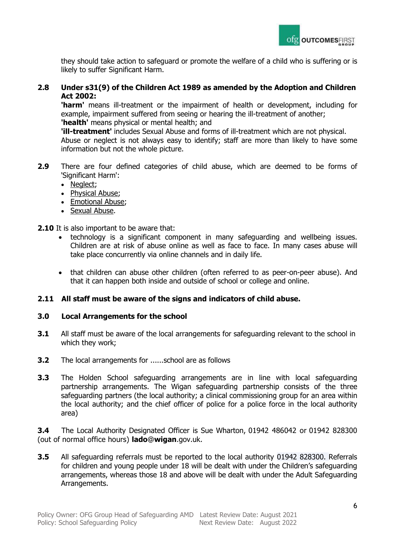

they should take action to safeguard or promote the welfare of a child who is suffering or is likely to suffer Significant Harm.

## **2.8 Under s31(9) of the Children Act 1989 as amended by the Adoption and Children Act 2002:**

**'harm'** means ill-treatment or the impairment of health or development, including for example, impairment suffered from seeing or hearing the ill-treatment of another; **'health'** means physical or mental health; and

**'ill-treatment'** includes Sexual Abuse and forms of ill-treatment which are not physical. Abuse or neglect is not always easy to identify; staff are more than likely to have some information but not the whole picture.

- **2.9** There are four defined categories of child abuse, which are deemed to be forms of 'Significant Harm':
	- Neglect;
	- Physical Abuse;
	- Emotional Abuse;
	- Sexual Abuse.

**2.10** It is also important to be aware that:

- technology is a significant component in many safeguarding and wellbeing issues. Children are at risk of abuse online as well as face to face. In many cases abuse will take place concurrently via online channels and in daily life.
- that children can abuse other children (often referred to as peer-on-peer abuse). And that it can happen both inside and outside of school or college and online.

## **2.11 All staff must be aware of the signs and indicators of child abuse.**

#### <span id="page-5-0"></span>**3.0 Local Arrangements for the school**

- **3.1** All staff must be aware of the local arrangements for safeguarding relevant to the school in which they work;
- **3.2** The local arrangements for ......school are as follows
- **3.3** The Holden School safeguarding arrangements are in line with local safeguarding partnership arrangements. The Wigan safeguarding partnership consists of the three safeguarding partners (the local authority; a clinical commissioning group for an area within the local authority; and the chief officer of police for a police force in the local authority area)

**3.4** The Local Authority Designated Officer is Sue Wharton, 01942 486042 or 01942 828300 (out of normal office hours) **lado**@**wigan**.gov.uk.

**3.5** All safeguarding referrals must be reported to the local authority 01942 828300. Referrals for children and young people under 18 will be dealt with under the Children's safeguarding arrangements, whereas those 18 and above will be dealt with under the Adult Safeguarding Arrangements.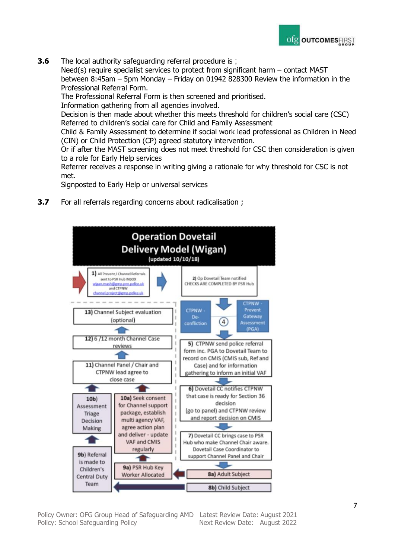

**3.6** The local authority safeguarding referral procedure is:

Need(s) require specialist services to protect from significant harm – contact MAST between 8:45am – 5pm Monday – Friday on 01942 828300 Review the information in the Professional Referral Form.

The Professional Referral Form is then screened and prioritised.

Information gathering from all agencies involved.

Decision is then made about whether this meets threshold for children's social care (CSC) Referred to children's social care for Child and Family Assessment

Child & Family Assessment to determine if social work lead professional as Children in Need (CIN) or Child Protection (CP) agreed statutory intervention.

Or if after the MAST screening does not meet threshold for CSC then consideration is given to a role for Early Help services

Referrer receives a response in writing giving a rationale for why threshold for CSC is not met.

Signposted to Early Help or universal services

**3.7** For all referrals regarding concerns about radicalisation ;



Policy Owner: OFG Group Head of Safeguarding AMD Latest Review Date: August 2021 Policy: School Safeguarding Policy Next Review Date: August 2022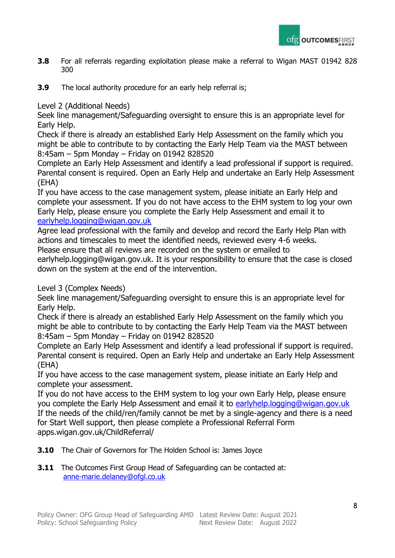

- **3.8** For all referrals regarding exploitation please make a referral to Wigan MAST 01942 828 300
- **3.9** The local authority procedure for an early help referral is;

Level 2 (Additional Needs)

Seek line management/Safeguarding oversight to ensure this is an appropriate level for Early Help.

Check if there is already an established Early Help Assessment on the family which you might be able to contribute to by contacting the Early Help Team via the MAST between 8:45am – 5pm Monday – Friday on 01942 828520

Complete an Early Help Assessment and identify a lead professional if support is required. Parental consent is required. Open an Early Help and undertake an Early Help Assessment (EHA)

If you have access to the case management system, please initiate an Early Help and complete your assessment. If you do not have access to the EHM system to log your own Early Help, please ensure you complete the Early Help Assessment and email it to [earlyhelp.logging@wigan.gov.uk](mailto:earlyhelp.logging@wigan.gov.uk)

Agree lead professional with the family and develop and record the Early Help Plan with actions and timescales to meet the identified needs, reviewed every 4-6 weeks.

Please ensure that all reviews are recorded on the system or emailed to

earlyhelp.logging@wigan.gov.uk. It is your responsibility to ensure that the case is closed down on the system at the end of the intervention.

## Level 3 (Complex Needs)

Seek line management/Safeguarding oversight to ensure this is an appropriate level for Early Help.

Check if there is already an established Early Help Assessment on the family which you might be able to contribute to by contacting the Early Help Team via the MAST between 8:45am – 5pm Monday – Friday on 01942 828520

Complete an Early Help Assessment and identify a lead professional if support is required. Parental consent is required. Open an Early Help and undertake an Early Help Assessment (EHA)

If you have access to the case management system, please initiate an Early Help and complete your assessment.

If you do not have access to the EHM system to log your own Early Help, please ensure you complete the Early Help Assessment and email it to [earlyhelp.logging@wigan.gov.uk](mailto:earlyhelp.logging@wigan.gov.uk) If the needs of the child/ren/family cannot be met by a single-agency and there is a need for Start Well support, then please complete a Professional Referral Form apps.wigan.gov.uk/ChildReferral/

**3.10** The Chair of Governors for The Holden School is: James Joyce

## **3.11** The Outcomes First Group Head of Safeguarding can be contacted at: [anne-marie.delaney@ofgl.co.uk](mailto:anne-marie.delaney@ofgl.co.uk)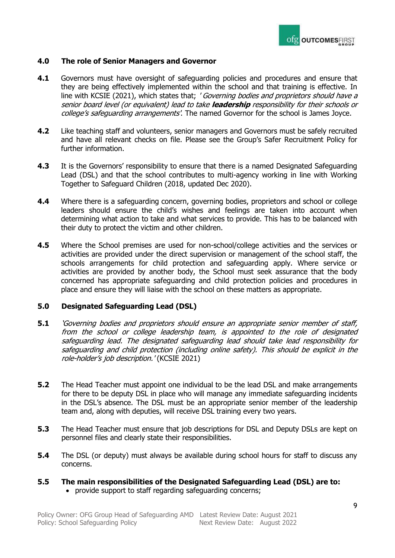

#### <span id="page-8-0"></span>**4.0 The role of Senior Managers and Governor**

- **4.1** Governors must have oversight of safeguarding policies and procedures and ensure that they are being effectively implemented within the school and that training is effective. In line with KCSIE (2021), which states that; ' Governing bodies and proprietors should have a senior board level (or equivalent) lead to take **leadership** responsibility for their schools or college's safeguarding arrangements'. The named Governor for the school is James Joyce.
- **4.2** Like teaching staff and volunteers, senior managers and Governors must be safely recruited and have all relevant checks on file. Please see the Group's Safer Recruitment Policy for further information.
- **4.3** It is the Governors' responsibility to ensure that there is a named Designated Safeguarding Lead (DSL) and that the school contributes to multi-agency working in line with Working Together to Safeguard Children (2018, updated Dec 2020).
- **4.4** Where there is a safeguarding concern, governing bodies, proprietors and school or college leaders should ensure the child's wishes and feelings are taken into account when determining what action to take and what services to provide. This has to be balanced with their duty to protect the victim and other children.
- **4.5** Where the School premises are used for non-school/college activities and the services or activities are provided under the direct supervision or management of the school staff, the schools arrangements for child protection and safeguarding apply. Where service or activities are provided by another body, the School must seek assurance that the body concerned has appropriate safeguarding and child protection policies and procedures in place and ensure they will liaise with the school on these matters as appropriate.

#### <span id="page-8-1"></span>**5.0 Designated Safeguarding Lead (DSL)**

- **5.1** 'Governing bodies and proprietors should ensure an appropriate senior member of staff, from the school or college leadership team, is appointed to the role of designated safeguarding lead. The designated safeguarding lead should take lead responsibility for safeguarding and child protection (including online safety). This should be explicit in the role-holder's job description.' (KCSIE 2021)
- **5.2** The Head Teacher must appoint one individual to be the lead DSL and make arrangements for there to be deputy DSL in place who will manage any immediate safeguarding incidents in the DSL's absence. The DSL must be an appropriate senior member of the leadership team and, along with deputies, will receive DSL training every two years.
- **5.3** The Head Teacher must ensure that job descriptions for DSL and Deputy DSLs are kept on personnel files and clearly state their responsibilities.
- **5.4** The DSL (or deputy) must always be available during school hours for staff to discuss any concerns.
- **5.5 The main responsibilities of the Designated Safeguarding Lead (DSL) are to:** provide support to staff regarding safeguarding concerns;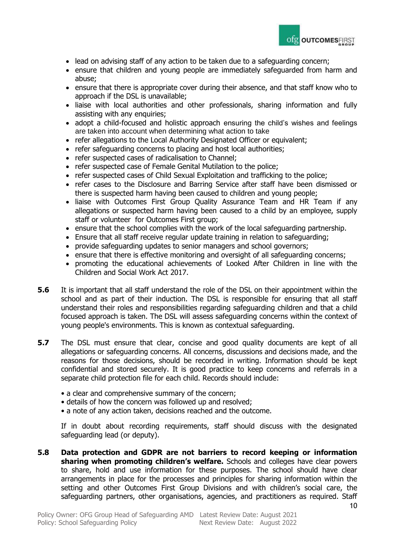

- lead on advising staff of any action to be taken due to a safeguarding concern;
- ensure that children and young people are immediately safeguarded from harm and abuse;
- ensure that there is appropriate cover during their absence, and that staff know who to approach if the DSL is unavailable;
- liaise with local authorities and other professionals, sharing information and fully assisting with any enquiries;
- adopt a child-focused and holistic approach ensuring the child's wishes and feelings are taken into account when determining what action to take
- refer allegations to the Local Authority Designated Officer or equivalent;
- refer safeguarding concerns to placing and host local authorities;
- refer suspected cases of radicalisation to Channel:
- refer suspected case of Female Genital Mutilation to the police;
- refer suspected cases of Child Sexual Exploitation and trafficking to the police;
- refer cases to the Disclosure and Barring Service after staff have been dismissed or there is suspected harm having been caused to children and young people;
- liaise with Outcomes First Group Quality Assurance Team and HR Team if any allegations or suspected harm having been caused to a child by an employee, supply staff or volunteer for Outcomes First group;
- ensure that the school complies with the work of the local safeguarding partnership.
- Ensure that all staff receive regular update training in relation to safeguarding;
- provide safeguarding updates to senior managers and school governors;
- ensure that there is effective monitoring and oversight of all safeguarding concerns;
- promoting the educational achievements of Looked After Children in line with the Children and Social Work Act 2017.
- **5.6** It is important that all staff understand the role of the DSL on their appointment within the school and as part of their induction. The DSL is responsible for ensuring that all staff understand their roles and responsibilities regarding safeguarding children and that a child focused approach is taken. The DSL will assess safeguarding concerns within the context of young people's environments. This is known as contextual safeguarding.
- **5.7** The DSL must ensure that clear, concise and good quality documents are kept of all allegations or safeguarding concerns. All concerns, discussions and decisions made, and the reasons for those decisions, should be recorded in writing. Information should be kept confidential and stored securely. It is good practice to keep concerns and referrals in a separate child protection file for each child. Records should include:
	- a clear and comprehensive summary of the concern;
	- details of how the concern was followed up and resolved;
	- a note of any action taken, decisions reached and the outcome.

If in doubt about recording requirements, staff should discuss with the designated safeguarding lead (or deputy).

**5.8 Data protection and GDPR are not barriers to record keeping or information sharing when promoting children's welfare.** Schools and colleges have clear powers to share, hold and use information for these purposes. The school should have clear arrangements in place for the processes and principles for sharing information within the setting and other Outcomes First Group Divisions and with children's social care, the safeguarding partners, other organisations, agencies, and practitioners as required. Staff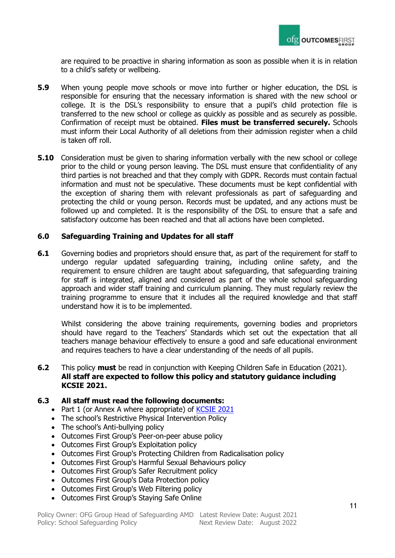

are required to be proactive in sharing information as soon as possible when it is in relation to a child's safety or wellbeing.

- **5.9** When young people move schools or move into further or higher education, the DSL is responsible for ensuring that the necessary information is shared with the new school or college. It is the DSL's responsibility to ensure that a pupil's child protection file is transferred to the new school or college as quickly as possible and as securely as possible. Confirmation of receipt must be obtained. **Files must be transferred securely.** Schools must inform their Local Authority of all deletions from their admission register when a child is taken off roll.
- **5.10** Consideration must be given to sharing information verbally with the new school or college prior to the child or young person leaving. The DSL must ensure that confidentiality of any third parties is not breached and that they comply with GDPR. Records must contain factual information and must not be speculative. These documents must be kept confidential with the exception of sharing them with relevant professionals as part of safeguarding and protecting the child or young person. Records must be updated, and any actions must be followed up and completed. It is the responsibility of the DSL to ensure that a safe and satisfactory outcome has been reached and that all actions have been completed.

#### <span id="page-10-0"></span>**6.0 Safeguarding Training and Updates for all staff**

**6.1** Governing bodies and proprietors should ensure that, as part of the requirement for staff to undergo regular updated safeguarding training, including online safety, and the requirement to ensure children are taught about safeguarding, that safeguarding training for staff is integrated, aligned and considered as part of the whole school safeguarding approach and wider staff training and curriculum planning. They must regularly review the training programme to ensure that it includes all the required knowledge and that staff understand how it is to be implemented.

Whilst considering the above training requirements, governing bodies and proprietors should have regard to the Teachers' Standards which set out the expectation that all teachers manage behaviour effectively to ensure a good and safe educational environment and requires teachers to have a clear understanding of the needs of all pupils.

#### **6.2** This policy **must** be read in conjunction with Keeping Children Safe in Education (2021). **All staff are expected to follow this policy and statutory guidance including KCSIE 2021.**

#### **6.3 All staff must read the following documents:**

- Part 1 (or Annex A where appropriate) of [KCSIE 2021](https://assets.publishing.service.gov.uk/government/uploads/system/uploads/attachment_data/file/999348/Keeping_children_safe_in_education_2021.pdf)
- The school's Restrictive Physical Intervention Policy
- The school's Anti-bullying policy
- Outcomes First Group's Peer-on-peer abuse policy
- Outcomes First Group's Exploitation policy
- Outcomes First Group's Protecting Children from Radicalisation policy
- Outcomes First Group's Harmful Sexual Behaviours policy
- Outcomes First Group's Safer Recruitment policy
- Outcomes First Group's Data Protection policy
- Outcomes First Group's Web Filtering policy
- Outcomes First Group's Staying Safe Online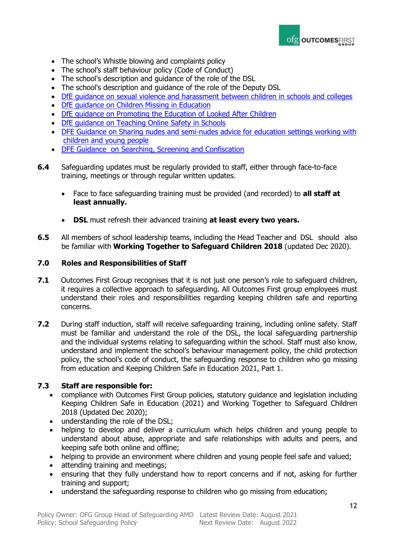

- The school's Whistle blowing and complaints policy
- The school's staff behaviour policy (Code of Conduct)
- The school's description and quidance of the role of the DSL
- The school's description and quidance of the role of the Deputy DSL
- DfE quidance on sexual violence and harassment between children in schools and colleges
- [DfE guidance on Children Missing in Education](https://assets.publishing.service.gov.uk/government/uploads/system/uploads/attachment_data/file/550416/Children_Missing_Education_-_statutory_guidance.pdf)
- [DfE guidance on Promoting the Education of Looked After Children](https://assets.publishing.service.gov.uk/government/uploads/system/uploads/attachment_data/file/683556/Promoting_the_education_of_looked-after_children_and_previously_looked-after_children.pdf)
- [DfE guidance on Teaching Online Safety in Schools](https://assets.publishing.service.gov.uk/government/uploads/system/uploads/attachment_data/file/811796/Teaching_online_safety_in_school.pdf)
- DFE Guidance on Sharing nudes and semi-nudes advice for education settings working with [children and young people](https://www.gov.uk/government/publications/sharing-nudes-and-semi-nudes-advice-for-education-settings-working-with-children-and-young-people)
- [DFE Guidance on Searching, Screening and Confiscation](https://www.gov.uk/government/publications/searching-screening-and-confiscation)
- **6.4** Safeguarding updates must be regularly provided to staff, either through face-to-face training, meetings or through regular written updates.
	- Face to face safeguarding training must be provided (and recorded) to **all staff at least annually.**
	- **DSL** must refresh their advanced training **at least every two years.**
- **6.5** All members of school leadership teams, including the Head Teacher and DSL should also be familiar with **Working Together to Safeguard Children 2018** (updated Dec 2020).

#### <span id="page-11-0"></span>**7.0 Roles and Responsibilities of Staff**

- **7.1** Outcomes First Group recognises that it is not just one person's role to safeguard children, it requires a collective approach to safeguarding. All Outcomes First group employees must understand their roles and responsibilities regarding keeping children safe and reporting concerns.
- **7.2** During staff induction, staff will receive safeguarding training, including online safety. Staff must be familiar and understand the role of the DSL, the local safeguarding partnership and the individual systems relating to safeguarding within the school. Staff must also know, understand and implement the school's behaviour management policy, the child protection policy, the school's code of conduct, the safeguarding response to children who go missing from education and Keeping Children Safe in Education 2021, Part 1.

#### **7.3 Staff are responsible for:**

- compliance with Outcomes First Group policies, statutory guidance and legislation including Keeping Children Safe in Education (2021) and Working Together to Safeguard Children 2018 (Updated Dec 2020);
- understanding the role of the DSL;
- helping to develop and deliver a curriculum which helps children and young people to understand about abuse, appropriate and safe relationships with adults and peers, and keeping safe both online and offline;
- helping to provide an environment where children and young people feel safe and valued;
- attending training and meetings;
- ensuring that they fully understand how to report concerns and if not, asking for further training and support;
- understand the safeguarding response to children who go missing from education;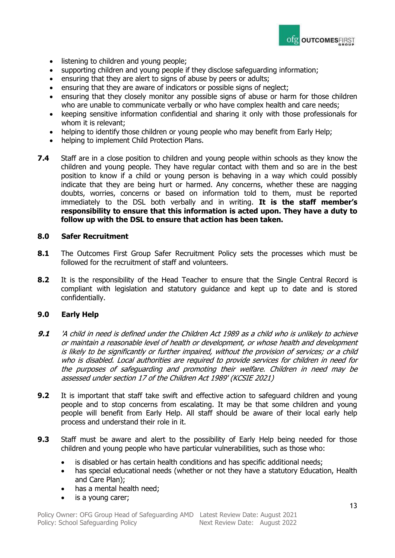

- listening to children and young people;
- supporting children and young people if they disclose safeguarding information;
- ensuring that they are alert to signs of abuse by peers or adults;
- ensuring that they are aware of indicators or possible signs of neglect;
- ensuring that they closely monitor any possible signs of abuse or harm for those children who are unable to communicate verbally or who have complex health and care needs;
- keeping sensitive information confidential and sharing it only with those professionals for whom it is relevant;
- helping to identify those children or young people who may benefit from Early Help;
- helping to implement Child Protection Plans.
- **7.4** Staff are in a close position to children and young people within schools as they know the children and young people. They have regular contact with them and so are in the best position to know if a child or young person is behaving in a way which could possibly indicate that they are being hurt or harmed. Any concerns, whether these are nagging doubts, worries, concerns or based on information told to them, must be reported immediately to the DSL both verbally and in writing. **It is the staff member's responsibility to ensure that this information is acted upon. They have a duty to follow up with the DSL to ensure that action has been taken.**

#### <span id="page-12-0"></span>**8.0 Safer Recruitment**

- 8.1 The Outcomes First Group Safer Recruitment Policy sets the processes which must be followed for the recruitment of staff and volunteers.
- 8.2 It is the responsibility of the Head Teacher to ensure that the Single Central Record is compliant with legislation and statutory guidance and kept up to date and is stored confidentially.

#### <span id="page-12-1"></span>**9.0 Early Help**

- **9.1** 'A child in need is defined under the Children Act 1989 as a child who is unlikely to achieve or maintain a reasonable level of health or development, or whose health and development is likely to be significantly or further impaired, without the provision of services; or a child who is disabled. Local authorities are required to provide services for children in need for the purposes of safeguarding and promoting their welfare. Children in need may be assessed under section 17 of the Children Act 1989' (KCSIE 2021)
- **9.2** It is important that staff take swift and effective action to safeguard children and young people and to stop concerns from escalating. It may be that some children and young people will benefit from Early Help. All staff should be aware of their local early help process and understand their role in it.
- **9.3** Staff must be aware and alert to the possibility of Early Help being needed for those children and young people who have particular vulnerabilities, such as those who:
	- is disabled or has certain health conditions and has specific additional needs;
	- has special educational needs (whether or not they have a statutory Education, Health and Care Plan);
	- has a mental health need;
	- is a young carer;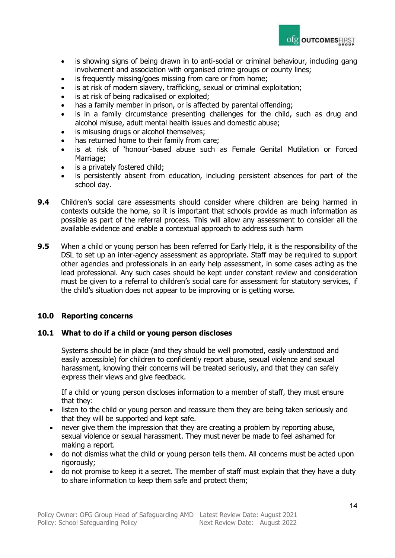

- is showing signs of being drawn in to anti-social or criminal behaviour, including gang involvement and association with organised crime groups or county lines;
- is frequently missing/goes missing from care or from home;
- is at risk of modern slavery, trafficking, sexual or criminal exploitation;
- is at risk of being radicalised or exploited;
- has a family member in prison, or is affected by parental offending;
- is in a family circumstance presenting challenges for the child, such as drug and alcohol misuse, adult mental health issues and domestic abuse;
- is misusing drugs or alcohol themselves;
- has returned home to their family from care;
- is at risk of 'honour'-based abuse such as Female Genital Mutilation or Forced Marriage;
- is a privately fostered child;
- is persistently absent from education, including persistent absences for part of the school day.
- **9.4** Children's social care assessments should consider where children are being harmed in contexts outside the home, so it is important that schools provide as much information as possible as part of the referral process. This will allow any assessment to consider all the available evidence and enable a contextual approach to address such harm
- **9.5** When a child or young person has been referred for Early Help, it is the responsibility of the DSL to set up an inter-agency assessment as appropriate. Staff may be required to support other agencies and professionals in an early help assessment, in some cases acting as the lead professional. Any such cases should be kept under constant review and consideration must be given to a referral to children's social care for assessment for statutory services, if the child's situation does not appear to be improving or is getting worse.

#### <span id="page-13-0"></span>**10.0 Reporting concerns**

#### **10.1 What to do if a child or young person discloses**

Systems should be in place (and they should be well promoted, easily understood and easily accessible) for children to confidently report abuse, sexual violence and sexual harassment, knowing their concerns will be treated seriously, and that they can safely express their views and give feedback.

If a child or young person discloses information to a member of staff, they must ensure that they:

- listen to the child or young person and reassure them they are being taken seriously and that they will be supported and kept safe.
- never give them the impression that they are creating a problem by reporting abuse, sexual violence or sexual harassment. They must never be made to feel ashamed for making a report.
- do not dismiss what the child or young person tells them. All concerns must be acted upon rigorously;
- do not promise to keep it a secret. The member of staff must explain that they have a duty to share information to keep them safe and protect them;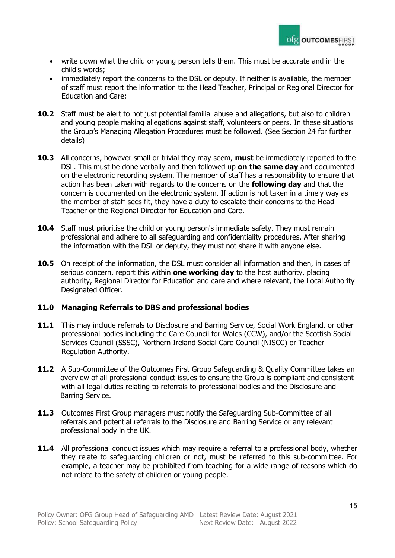

- write down what the child or young person tells them. This must be accurate and in the child's words;
- immediately report the concerns to the DSL or deputy. If neither is available, the member of staff must report the information to the Head Teacher, Principal or Regional Director for Education and Care;
- **10.2** Staff must be alert to not just potential familial abuse and allegations, but also to children and young people making allegations against staff, volunteers or peers. In these situations the Group's Managing Allegation Procedures must be followed. (See Section 24 for further details)
- **10.3** All concerns, however small or trivial they may seem, **must** be immediately reported to the DSL. This must be done verbally and then followed up **on the same day** and documented on the electronic recording system. The member of staff has a responsibility to ensure that action has been taken with regards to the concerns on the **following day** and that the concern is documented on the electronic system. If action is not taken in a timely way as the member of staff sees fit, they have a duty to escalate their concerns to the Head Teacher or the Regional Director for Education and Care.
- **10.4** Staff must prioritise the child or young person's immediate safety. They must remain professional and adhere to all safeguarding and confidentiality procedures. After sharing the information with the DSL or deputy, they must not share it with anyone else.
- **10.5** On receipt of the information, the DSL must consider all information and then, in cases of serious concern, report this within **one working day** to the host authority, placing authority, Regional Director for Education and care and where relevant, the Local Authority Designated Officer.

#### <span id="page-14-0"></span>**11.0 Managing Referrals to DBS and professional bodies**

- **11.1** This may include referrals to Disclosure and Barring Service, Social Work England, or other professional bodies including the Care Council for Wales (CCW), and/or the Scottish Social Services Council (SSSC), Northern Ireland Social Care Council (NISCC) or Teacher Regulation Authority.
- **11.2** A Sub-Committee of the Outcomes First Group Safeguarding & Ouality Committee takes an overview of all professional conduct issues to ensure the Group is compliant and consistent with all legal duties relating to referrals to professional bodies and the Disclosure and Barring Service.
- **11.3** Outcomes First Group managers must notify the Safeguarding Sub-Committee of all referrals and potential referrals to the Disclosure and Barring Service or any relevant professional body in the UK.
- **11.4** All professional conduct issues which may require a referral to a professional body, whether they relate to safeguarding children or not, must be referred to this sub-committee. For example, a teacher may be prohibited from teaching for a wide range of reasons which do not relate to the safety of children or young people.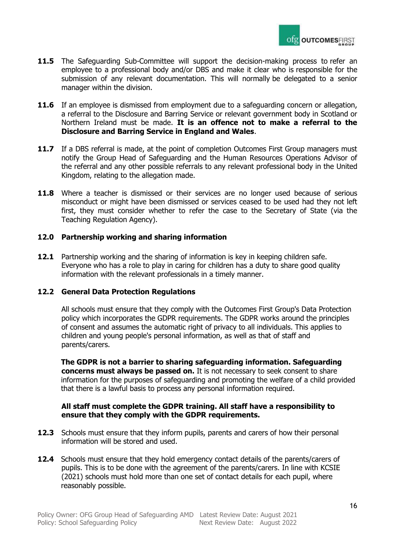

- **11.5** The Safeguarding Sub-Committee will support the decision-making process to refer an employee to a professional body and/or DBS and make it clear who is responsible for the submission of any relevant documentation. This will normally be delegated to a senior manager within the division.
- **11.6** If an employee is dismissed from employment due to a safeguarding concern or allegation, a referral to the Disclosure and Barring Service or relevant government body in Scotland or Northern Ireland must be made. **It is an offence not to make a referral to the Disclosure and Barring Service in England and Wales**.
- **11.7** If a DBS referral is made, at the point of completion Outcomes First Group managers must notify the Group Head of Safeguarding and the Human Resources Operations Advisor of the referral and any other possible referrals to any relevant professional body in the United Kingdom, relating to the allegation made.
- **11.8** Where a teacher is dismissed or their services are no longer used because of serious misconduct or might have been dismissed or services ceased to be used had they not left first, they must consider whether to refer the case to the Secretary of State (via the Teaching Regulation Agency).

#### <span id="page-15-0"></span>**12.0 Partnership working and sharing information**

**12.1** Partnership working and the sharing of information is key in keeping children safe. Everyone who has a role to play in caring for children has a duty to share good quality information with the relevant professionals in a timely manner.

#### **12.2 General Data Protection Regulations**

All schools must ensure that they comply with the Outcomes First Group's Data Protection policy which incorporates the GDPR requirements. The GDPR works around the principles of consent and assumes the automatic right of privacy to all individuals. This applies to children and young people's personal information, as well as that of staff and parents/carers.

**The GDPR is not a barrier to sharing safeguarding information. Safeguarding concerns must always be passed on.** It is not necessary to seek consent to share information for the purposes of safeguarding and promoting the welfare of a child provided that there is a lawful basis to process any personal information required.

## **All staff must complete the GDPR training. All staff have a responsibility to ensure that they comply with the GDPR requirements.**

- **12.3** Schools must ensure that they inform pupils, parents and carers of how their personal information will be stored and used.
- **12.4** Schools must ensure that they hold emergency contact details of the parents/carers of pupils. This is to be done with the agreement of the parents/carers. In line with KCSIE (2021) schools must hold more than one set of contact details for each pupil, where reasonably possible.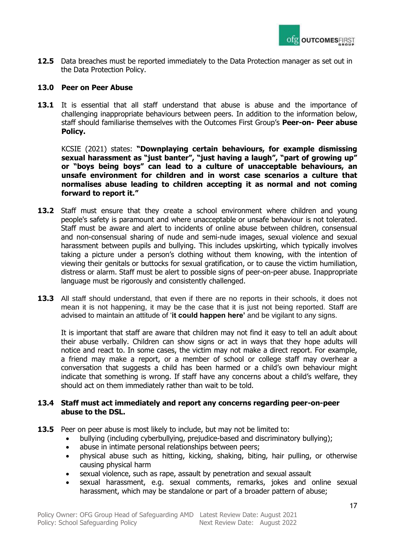

**12.5** Data breaches must be reported immediately to the Data Protection manager as set out in the Data Protection Policy.

#### <span id="page-16-0"></span>**13.0 Peer on Peer Abuse**

13.1 It is essential that all staff understand that abuse is abuse and the importance of challenging inappropriate behaviours between peers. In addition to the information below, staff should familiarise themselves with the Outcomes First Group's **Peer-on- Peer abuse Policy.**

KCSIE (2021) states: **"Downplaying certain behaviours, for example dismissing sexual harassment as "just banter", "just having a laugh", "part of growing up" or "boys being boys" can lead to a culture of unacceptable behaviours, an unsafe environment for children and in worst case scenarios a culture that normalises abuse leading to children accepting it as normal and not coming forward to report it."**

- 13.2 Staff must ensure that they create a school environment where children and young people's safety is paramount and where unacceptable or unsafe behaviour is not tolerated. Staff must be aware and alert to incidents of online abuse between children, consensual and non-consensual sharing of nude and semi-nude images, sexual violence and sexual harassment between pupils and bullying. This includes upskirting, which typically involves taking a picture under a person's clothing without them knowing, with the intention of viewing their genitals or buttocks for sexual gratification, or to cause the victim humiliation, distress or alarm. Staff must be alert to possible signs of peer-on-peer abuse. Inappropriate language must be rigorously and consistently challenged.
- **13.3** All staff should understand, that even if there are no reports in their schools, it does not mean it is not happening, it may be the case that it is just not being reported. Staff are advised to maintain an attitude of '**it could happen here'** and be vigilant to any signs.

It is important that staff are aware that children may not find it easy to tell an adult about their abuse verbally. Children can show signs or act in ways that they hope adults will notice and react to. In some cases, the victim may not make a direct report. For example, a friend may make a report, or a member of school or college staff may overhear a conversation that suggests a child has been harmed or a child's own behaviour might indicate that something is wrong. If staff have any concerns about a child's welfare, they should act on them immediately rather than wait to be told.

#### **13.4 Staff must act immediately and report any concerns regarding peer-on-peer abuse to the DSL.**

- **13.5** Peer on peer abuse is most likely to include, but may not be limited to:
	- bullying (including cyberbullying, prejudice-based and discriminatory bullying);
	- abuse in intimate personal relationships between peers;
	- physical abuse such as hitting, kicking, shaking, biting, hair pulling, or otherwise causing physical harm
	- sexual violence, such as rape, assault by penetration and sexual assault
	- sexual harassment, e.g. sexual comments, remarks, jokes and online sexual harassment, which may be standalone or part of a broader pattern of abuse;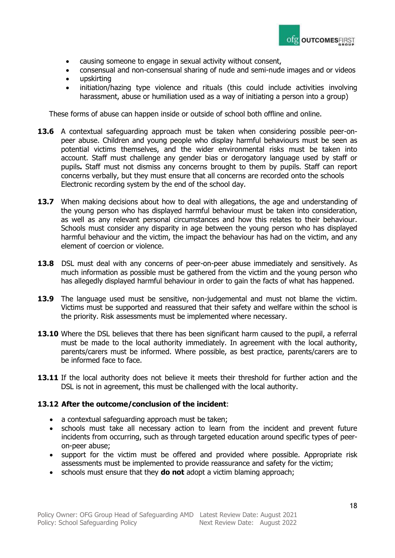

- causing someone to engage in sexual activity without consent,
- consensual and non-consensual sharing of nude and semi-nude images and or videos
- upskirting
- initiation/hazing type violence and rituals (this could include activities involving harassment, abuse or humiliation used as a way of initiating a person into a group)

These forms of abuse can happen inside or outside of school both offline and online.

- **13.6** A contextual safeguarding approach must be taken when considering possible peer-onpeer abuse. Children and young people who display harmful behaviours must be seen as potential victims themselves, and the wider environmental risks must be taken into account. Staff must challenge any gender bias or derogatory language used by staff or pupils**.** Staff must not dismiss any concerns brought to them by pupils. Staff can report concerns verbally, but they must ensure that all concerns are recorded onto the schools Electronic recording system by the end of the school day.
- **13.7** When making decisions about how to deal with allegations, the age and understanding of the young person who has displayed harmful behaviour must be taken into consideration, as well as any relevant personal circumstances and how this relates to their behaviour. Schools must consider any disparity in age between the young person who has displayed harmful behaviour and the victim, the impact the behaviour has had on the victim, and any element of coercion or violence.
- **13.8** DSL must deal with any concerns of peer-on-peer abuse immediately and sensitively. As much information as possible must be gathered from the victim and the young person who has allegedly displayed harmful behaviour in order to gain the facts of what has happened.
- **13.9** The language used must be sensitive, non-judgemental and must not blame the victim. Victims must be supported and reassured that their safety and welfare within the school is the priority. Risk assessments must be implemented where necessary.
- 13.10 Where the DSL believes that there has been significant harm caused to the pupil, a referral must be made to the local authority immediately. In agreement with the local authority, parents/carers must be informed. Where possible, as best practice, parents/carers are to be informed face to face.
- **13.11** If the local authority does not believe it meets their threshold for further action and the DSL is not in agreement, this must be challenged with the local authority.

#### **13.12 After the outcome/conclusion of the incident**:

- a contextual safeguarding approach must be taken;
- schools must take all necessary action to learn from the incident and prevent future incidents from occurring, such as through targeted education around specific types of peeron-peer abuse;
- support for the victim must be offered and provided where possible. Appropriate risk assessments must be implemented to provide reassurance and safety for the victim;
- schools must ensure that they **do not** adopt a victim blaming approach;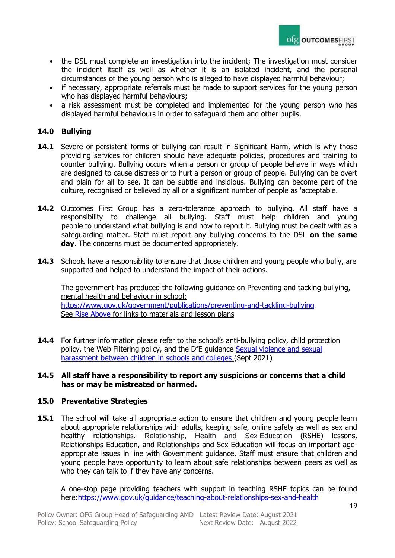

- the DSL must complete an investigation into the incident; The investigation must consider the incident itself as well as whether it is an isolated incident, and the personal circumstances of the young person who is alleged to have displayed harmful behaviour;
- if necessary, appropriate referrals must be made to support services for the young person who has displayed harmful behaviours;
- a risk assessment must be completed and implemented for the young person who has displayed harmful behaviours in order to safeguard them and other pupils.

## <span id="page-18-0"></span>**14.0 Bullying**

- **14.1** Severe or persistent forms of bullying can result in Significant Harm, which is why those providing services for children should have adequate policies, procedures and training to counter bullying. Bullying occurs when a person or group of people behave in ways which are designed to cause distress or to hurt a person or group of people. Bullying can be overt and plain for all to see. It can be subtle and insidious. Bullying can become part of the culture, recognised or believed by all or a significant number of people as 'acceptable.
- **14.2** Outcomes First Group has a zero-tolerance approach to bullying. All staff have a responsibility to challenge all bullying. Staff must help children and young people to understand what bullying is and how to report it. Bullying must be dealt with as a safeguarding matter. Staff must report any bullying concerns to the DSL **on the same day**. The concerns must be documented appropriately.
- **14.3** Schools have a responsibility to ensure that those children and young people who bully, are supported and helped to understand the impact of their actions.

The government has produced the following guidance on Preventing and tacking bullying, mental health and behaviour in school: <https://www.gov.uk/government/publications/preventing-and-tackling-bullying> See [Rise Above](https://campaignresources.phe.gov.uk/schools/topics/mental-wellbeing/overview) for links to materials and lesson plans

**14.4** For further information please refer to the school's anti-bullying policy, child protection policy, the Web Filtering policy, and the DfE guidance [Sexual violence and sexual](https://assets.publishing.service.gov.uk/government/uploads/system/uploads/attachment_data/file/999239/SVSH_2021.pdf)  [harassment between children in schools and colleges \(](https://assets.publishing.service.gov.uk/government/uploads/system/uploads/attachment_data/file/999239/SVSH_2021.pdf)Sept 2021)

#### **14.5 All staff have a responsibility to report any suspicions or concerns that a child has or may be mistreated or harmed.**

#### <span id="page-18-1"></span>**15.0 Preventative Strategies**

**15.1** The school will take all appropriate action to ensure that children and young people learn about appropriate relationships with adults, keeping safe, online safety as well as sex and healthy relationships. Relationship, Health and Sex Education **(**RSHE) lessons, Relationships Education, and Relationships and Sex Education will focus on important ageappropriate issues in line with Government guidance. Staff must ensure that children and young people have opportunity to learn about safe relationships between peers as well as who they can talk to if they have any concerns.

A one-stop page providing teachers with support in teaching RSHE topics can be found here[:https://www.gov.uk/guidance/teaching-about-relationships-sex-and-health](https://www.gov.uk/guidance/teaching-about-relationships-sex-and-health)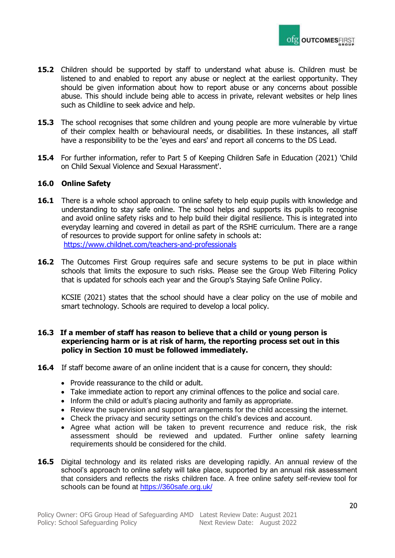

- **15.2** Children should be supported by staff to understand what abuse is. Children must be listened to and enabled to report any abuse or neglect at the earliest opportunity. They should be given information about how to report abuse or any concerns about possible abuse. This should include being able to access in private, relevant websites or help lines such as Childline to seek advice and help.
- **15.3** The school recognises that some children and young people are more vulnerable by virtue of their complex health or behavioural needs, or disabilities. In these instances, all staff have a responsibility to be the 'eyes and ears' and report all concerns to the DS Lead.
- **15.4** For further information, refer to Part 5 of Keeping Children Safe in Education (2021) 'Child on Child Sexual Violence and Sexual Harassment'.

#### <span id="page-19-0"></span>**16.0 Online Safety**

- **16.1** There is a whole school approach to online safety to help equip pupils with knowledge and understanding to stay safe online. The school helps and supports its pupils to recognise and avoid online safety risks and to help build their digital resilience. This is integrated into everyday learning and covered in detail as part of the RSHE curriculum. There are a range of resources to provide support for online safety in schools at: <https://www.childnet.com/teachers-and-professionals>
- **16.2** The Outcomes First Group requires safe and secure systems to be put in place within schools that limits the exposure to such risks. Please see the Group Web Filtering Policy that is updated for schools each year and the Group's Staying Safe Online Policy.

KCSIE (2021) states that the school should have a clear policy on the use of mobile and smart technology. Schools are required to develop a local policy.

#### **16.3 If a member of staff has reason to believe that a child or young person is experiencing harm or is at risk of harm, the reporting process set out in this policy in Section 10 must be followed immediately.**

- **16.4** If staff become aware of an online incident that is a cause for concern, they should:
	- Provide reassurance to the child or adult.
	- Take immediate action to report any criminal offences to the police and social care.
	- Inform the child or adult's placing authority and family as appropriate.
	- Review the supervision and support arrangements for the child accessing the internet.
	- Check the privacy and security settings on the child's devices and account.
	- Agree what action will be taken to prevent recurrence and reduce risk, the risk assessment should be reviewed and updated. Further online safety learning requirements should be considered for the child.
- **16.5** Digital technology and its related risks are developing rapidly. An annual review of the school's approach to online safety will take place, supported by an annual risk assessment that considers and reflects the risks children face. A free online safety self-review tool for schools can be found at<https://360safe.org.uk/>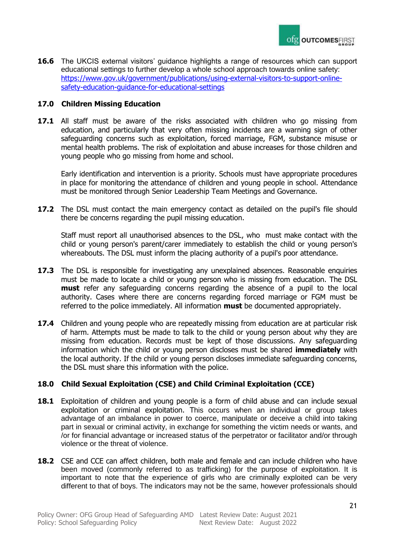

**16.6** The UKCIS external visitors' quidance highlights a range of resources which can support educational settings to further develop a whole school approach towards online safety: [https://www.gov.uk/government/publications/using-external-visitors-to-support-online](https://www.gov.uk/government/publications/using-external-visitors-to-support-online-safety-education-guidance-for-educational-settings)[safety-education-guidance-for-educational-settings](https://www.gov.uk/government/publications/using-external-visitors-to-support-online-safety-education-guidance-for-educational-settings)

## <span id="page-20-0"></span>**17.0 Children Missing Education**

**17.1** All staff must be aware of the risks associated with children who go missing from education, and particularly that very often missing incidents are a warning sign of other safeguarding concerns such as exploitation, forced marriage, FGM, substance misuse or mental health problems. The risk of exploitation and abuse increases for those children and young people who go missing from home and school.

Early identification and intervention is a priority. Schools must have appropriate procedures in place for monitoring the attendance of children and young people in school. Attendance must be monitored through Senior Leadership Team Meetings and Governance.

**17.2** The DSL must contact the main emergency contact as detailed on the pupil's file should there be concerns regarding the pupil missing education.

Staff must report all unauthorised absences to the DSL, who must make contact with the child or young person's parent/carer immediately to establish the child or young person's whereabouts. The DSL must inform the placing authority of a pupil's poor attendance.

- **17.3** The DSL is responsible for investigating any unexplained absences. Reasonable enquiries must be made to locate a child or young person who is missing from education. The DSL **must** refer any safeguarding concerns regarding the absence of a pupil to the local authority. Cases where there are concerns regarding forced marriage or FGM must be referred to the police immediately. All information **must** be documented appropriately.
- **17.4** Children and young people who are repeatedly missing from education are at particular risk of harm. Attempts must be made to talk to the child or young person about why they are missing from education. Records must be kept of those discussions. Any safeguarding information which the child or young person discloses must be shared **immediately** with the local authority. If the child or young person discloses immediate safeguarding concerns, the DSL must share this information with the police.

## <span id="page-20-1"></span>**18.0 Child Sexual Exploitation (CSE) and Child Criminal Exploitation (CCE)**

- **18.1** Exploitation of children and young people is a form of child abuse and can include sexual exploitation or criminal exploitation. This occurs when an individual or group takes advantage of an imbalance in power to coerce, manipulate or deceive a child into taking part in sexual or criminal activity, in exchange for something the victim needs or wants, and /or for financial advantage or increased status of the perpetrator or facilitator and/or through violence or the threat of violence.
- **18.2** CSE and CCE can affect children, both male and female and can include children who have been moved (commonly referred to as trafficking) for the purpose of exploitation. It is important to note that the experience of girls who are criminally exploited can be very different to that of boys. The indicators may not be the same, however professionals should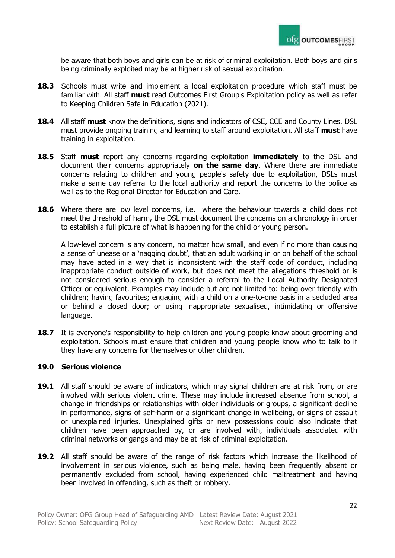

be aware that both boys and girls can be at risk of criminal exploitation. Both boys and girls being criminally exploited may be at higher risk of sexual exploitation.

- **18.3** Schools must write and implement a local exploitation procedure which staff must be familiar with. All staff **must** read Outcomes First Group's Exploitation policy as well as refer to Keeping Children Safe in Education (2021).
- **18.4** All staff **must** know the definitions, signs and indicators of CSE, CCE and County Lines. DSL must provide ongoing training and learning to staff around exploitation. All staff **must** have training in exploitation.
- **18.5** Staff **must** report any concerns regarding exploitation **immediately** to the DSL and document their concerns appropriately **on the same day**. Where there are immediate concerns relating to children and young people's safety due to exploitation, DSLs must make a same day referral to the local authority and report the concerns to the police as well as to the Regional Director for Education and Care.
- **18.6** Where there are low level concerns, i.e. where the behaviour towards a child does not meet the threshold of harm, the DSL must document the concerns on a chronology in order to establish a full picture of what is happening for the child or young person.

A low-level concern is any concern, no matter how small, and even if no more than causing a sense of unease or a 'nagging doubt', that an adult working in or on behalf of the school may have acted in a way that is inconsistent with the staff code of conduct, including inappropriate conduct outside of work, but does not meet the allegations threshold or is not considered serious enough to consider a referral to the Local Authority Designated Officer or equivalent. Examples may include but are not limited to: being over friendly with children; having favourites; engaging with a child on a one-to-one basis in a secluded area or behind a closed door; or using inappropriate sexualised, intimidating or offensive language.

**18.7** It is everyone's responsibility to help children and young people know about grooming and exploitation. Schools must ensure that children and young people know who to talk to if they have any concerns for themselves or other children.

## <span id="page-21-0"></span>**19.0 Serious violence**

- 19.1 All staff should be aware of indicators, which may signal children are at risk from, or are involved with serious violent crime. These may include increased absence from school, a change in friendships or relationships with older individuals or groups, a significant decline in performance, signs of self-harm or a significant change in wellbeing, or signs of assault or unexplained injuries. Unexplained gifts or new possessions could also indicate that children have been approached by, or are involved with, individuals associated with criminal networks or gangs and may be at risk of criminal exploitation.
- 19.2 All staff should be aware of the range of risk factors which increase the likelihood of involvement in serious violence, such as being male, having been frequently absent or permanently excluded from school, having experienced child maltreatment and having been involved in offending, such as theft or robbery.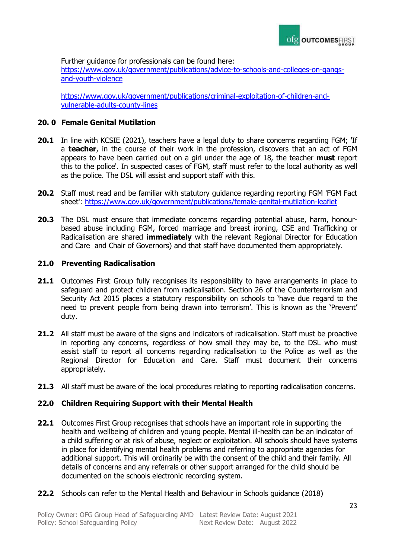

Further guidance for professionals can be found here: [https://www.gov.uk/government/publications/advice-to-schools-and-colleges-on-gangs](https://www.gov.uk/government/publications/advice-to-schools-and-colleges-on-gangs-and-youth-violence)[and-youth-violence](https://www.gov.uk/government/publications/advice-to-schools-and-colleges-on-gangs-and-youth-violence)

[https://www.gov.uk/government/publications/criminal-exploitation-of-children-and](https://www.gov.uk/government/publications/criminal-exploitation-of-children-and-vulnerable-adults-county-lines)[vulnerable-adults-county-lines](https://www.gov.uk/government/publications/criminal-exploitation-of-children-and-vulnerable-adults-county-lines)

#### <span id="page-22-0"></span>**20. 0 Female Genital Mutilation**

- **20.1** In line with KCSIE (2021), teachers have a legal duty to share concerns regarding FGM; 'If a **teacher**, in the course of their work in the profession, discovers that an act of FGM appears to have been carried out on a girl under the age of 18, the teacher **must** report this to the police'. In suspected cases of FGM, staff must refer to the local authority as well as the police. The DSL will assist and support staff with this.
- **20.2** Staff must read and be familiar with statutory guidance regarding reporting FGM 'FGM Fact sheet': <https://www.gov.uk/government/publications/female-genital-mutilation-leaflet>
- **20.3** The DSL must ensure that immediate concerns regarding potential abuse, harm, honourbased abuse including FGM, forced marriage and breast ironing, CSE and Trafficking or Radicalisation are shared **immediately** with the relevant Regional Director for Education and Care and Chair of Governors) and that staff have documented them appropriately.

## <span id="page-22-1"></span>**21.0 Preventing Radicalisation**

- **21.1** Outcomes First Group fully recognises its responsibility to have arrangements in place to safeguard and protect children from radicalisation. Section 26 of the Counterterrorism and Security Act 2015 places a statutory responsibility on schools to 'have due regard to the need to prevent people from being drawn into terrorism'. This is known as the 'Prevent' duty.
- **21.2** All staff must be aware of the signs and indicators of radicalisation. Staff must be proactive in reporting any concerns, regardless of how small they may be, to the DSL who must assist staff to report all concerns regarding radicalisation to the Police as well as the Regional Director for Education and Care. Staff must document their concerns appropriately.
- **21.3** All staff must be aware of the local procedures relating to reporting radicalisation concerns.

## <span id="page-22-2"></span>**22.0 Children Requiring Support with their Mental Health**

- **22.1** Outcomes First Group recognises that schools have an important role in supporting the health and wellbeing of children and young people. Mental ill-health can be an indicator of a child suffering or at risk of abuse, neglect or exploitation. All schools should have systems in place for identifying mental health problems and referring to appropriate agencies for additional support. This will ordinarily be with the consent of the child and their family. All details of concerns and any referrals or other support arranged for the child should be documented on the schools electronic recording system.
- **22.2** Schools can refer to the Mental Health and Behaviour in Schools guidance (2018)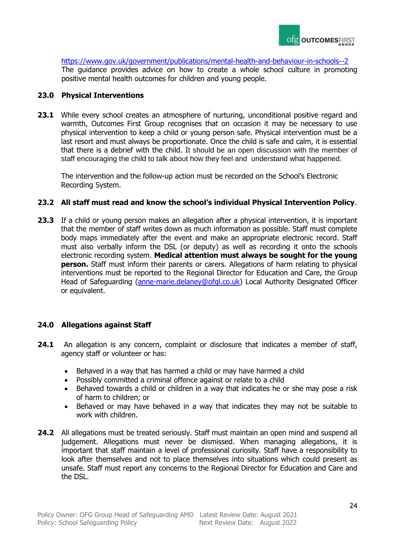

 <https://www.gov.uk/government/publications/mental-health-and-behaviour-in-schools--2> The guidance provides advice on how to create a whole school culture in promoting positive mental health outcomes for children and young people.

## <span id="page-23-0"></span>**23.0 Physical Interventions**

23.1 While every school creates an atmosphere of nurturing, unconditional positive regard and warmth, Outcomes First Group recognises that on occasion it may be necessary to use physical intervention to keep a child or young person safe. Physical intervention must be a last resort and must always be proportionate. Once the child is safe and calm, it is essential that there is a debrief with the child. It should be an open discussion with the member of staff encouraging the child to talk about how they feel and understand what happened.

The intervention and the follow-up action must be recorded on the School's Electronic Recording System.

## **23.2 All staff must read and know the school's individual Physical Intervention Policy**.

**23.3** If a child or young person makes an allegation after a physical intervention, it is important that the member of staff writes down as much information as possible. Staff must complete body maps immediately after the event and make an appropriate electronic record. Staff must also verbally inform the DSL (or deputy) as well as recording it onto the schools electronic recording system. **Medical attention must always be sought for the young person.** Staff must inform their parents or carers. Allegations of harm relating to physical interventions must be reported to the Regional Director for Education and Care, the Group Head of Safeguarding [\(anne-marie.delaney@ofgl.co.uk\)](mailto:anne-marie.delaney@ofgl.co.uk) Local Authority Designated Officer or equivalent.

## <span id="page-23-1"></span>**24.0 Allegations against Staff**

- 24.1 An allegation is any concern, complaint or disclosure that indicates a member of staff, agency staff or volunteer or has:
	- Behaved in a way that has harmed a child or may have harmed a child
	- Possibly committed a criminal offence against or relate to a child
	- Behaved towards a child or children in a way that indicates he or she may pose a risk of harm to children; or
	- Behaved or may have behaved in a way that indicates they may not be suitable to work with children.
- **24.2** All allegations must be treated seriously. Staff must maintain an open mind and suspend all judgement. Allegations must never be dismissed. When managing allegations, it is important that staff maintain a level of professional curiosity. Staff have a responsibility to look after themselves and not to place themselves into situations which could present as unsafe. Staff must report any concerns to the Regional Director for Education and Care and the DSL.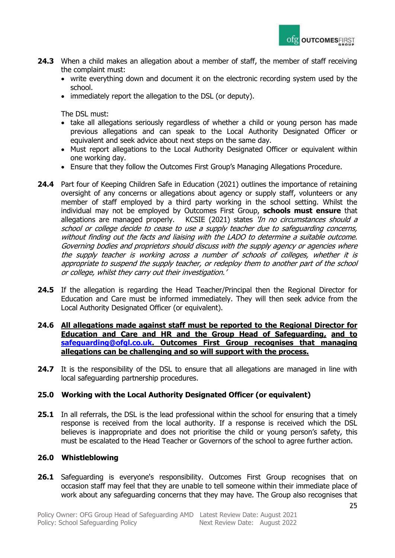

- 24.3 When a child makes an allegation about a member of staff, the member of staff receiving the complaint must:
	- write everything down and document it on the electronic recording system used by the school.
	- immediately report the allegation to the DSL (or deputy).

The DSL must:

- take all allegations seriously regardless of whether a child or young person has made previous allegations and can speak to the Local Authority Designated Officer or equivalent and seek advice about next steps on the same day.
- Must report allegations to the Local Authority Designated Officer or equivalent within one working day.
- Ensure that they follow the Outcomes First Group's Managing Allegations Procedure.
- **24.4** Part four of Keeping Children Safe in Education (2021) outlines the importance of retaining oversight of any concerns or allegations about agency or supply staff, volunteers or any member of staff employed by a third party working in the school setting. Whilst the individual may not be employed by Outcomes First Group, **schools must ensure** that allegations are managed properly. KCSIE (2021) states 'In no circumstances should a school or college decide to cease to use a supply teacher due to safeguarding concerns, without finding out the facts and liaising with the LADO to determine a suitable outcome. Governing bodies and proprietors should discuss with the supply agency or agencies where the supply teacher is working across a number of schools of colleges, whether it is appropriate to suspend the supply teacher, or redeploy them to another part of the school or college, whilst they carry out their investigation.'
- **24.5** If the allegation is regarding the Head Teacher/Principal then the Regional Director for Education and Care must be informed immediately. They will then seek advice from the Local Authority Designated Officer (or equivalent).

#### **24.6 All allegations made against staff must be reported to the Regional Director for Education and Care and HR and the Group Head of Safeguarding, and to [safeguarding@ofgl.co.uk.](mailto:safeguarding@ofgl.co.uk) Outcomes First Group recognises that managing allegations can be challenging and so will support with the process.**

**24.7** It is the responsibility of the DSL to ensure that all allegations are managed in line with local safeguarding partnership procedures.

## <span id="page-24-0"></span>**25.0 Working with the Local Authority Designated Officer (or equivalent)**

**25.1** In all referrals, the DSL is the lead professional within the school for ensuring that a timely response is received from the local authority. If a response is received which the DSL believes is inappropriate and does not prioritise the child or young person's safety, this must be escalated to the Head Teacher or Governors of the school to agree further action.

#### <span id="page-24-1"></span>**26.0 Whistleblowing**

26.1 Safequarding is everyone's responsibility. Outcomes First Group recognises that on occasion staff may feel that they are unable to tell someone within their immediate place of work about any safeguarding concerns that they may have. The Group also recognises that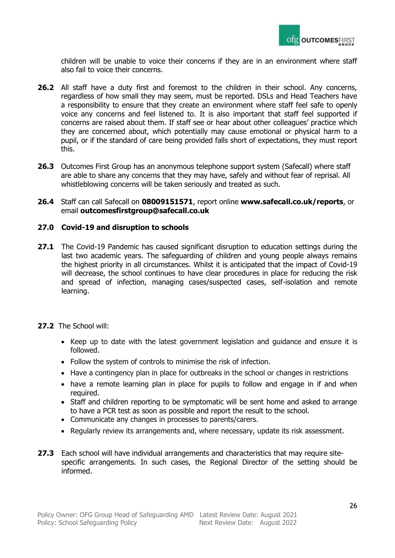

children will be unable to voice their concerns if they are in an environment where staff also fail to voice their concerns.

- **26.2** All staff have a duty first and foremost to the children in their school. Any concerns, regardless of how small they may seem, must be reported. DSLs and Head Teachers have a responsibility to ensure that they create an environment where staff feel safe to openly voice any concerns and feel listened to. It is also important that staff feel supported if concerns are raised about them. If staff see or hear about other colleagues' practice which they are concerned about, which potentially may cause emotional or physical harm to a pupil, or if the standard of care being provided falls short of expectations, they must report this.
- **26.3** Outcomes First Group has an anonymous telephone support system (Safecall) where staff are able to share any concerns that they may have, safely and without fear of reprisal. All whistleblowing concerns will be taken seriously and treated as such.
- **26.4** Staff can call Safecall on **08009151571**, report online **www.safecall.co.uk/reports**, or email **outcomesfirstgroup@safecall.co.uk**

## <span id="page-25-0"></span>**27.0 Covid-19 and disruption to schools**

**27.1** The Covid-19 Pandemic has caused significant disruption to education settings during the last two academic years. The safeguarding of children and young people always remains the highest priority in all circumstances. Whilst it is anticipated that the impact of Covid-19 will decrease, the school continues to have clear procedures in place for reducing the risk and spread of infection, managing cases/suspected cases, self-isolation and remote learning.

#### **27.2** The School will:

- Keep up to date with the latest government legislation and guidance and ensure it is followed.
- Follow the system of controls to minimise the risk of infection.
- Have a contingency plan in place for outbreaks in the school or changes in restrictions
- have a remote learning plan in place for pupils to follow and engage in if and when required.
- Staff and children reporting to be symptomatic will be sent home and asked to arrange to have a PCR test as soon as possible and report the result to the school.
- Communicate any changes in processes to parents/carers.
- Regularly review its arrangements and, where necessary, update its risk assessment.
- **27.3** Each school will have individual arrangements and characteristics that may require sitespecific arrangements. In such cases, the Regional Director of the setting should be informed.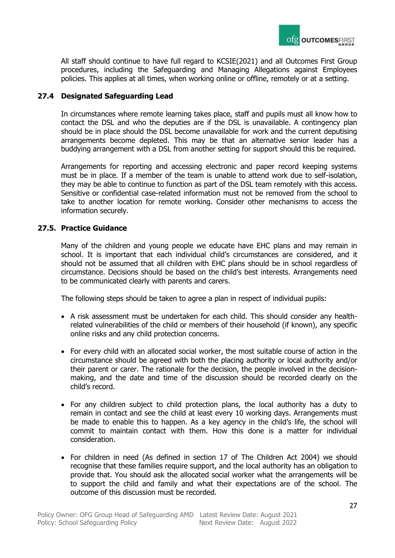

All staff should continue to have full regard to KCSIE(2021) and all Outcomes First Group procedures, including the Safeguarding and Managing Allegations against Employees policies. This applies at all times, when working online or offline, remotely or at a setting.

#### **27.4 Designated Safeguarding Lead**

In circumstances where remote learning takes place, staff and pupils must all know how to contact the DSL and who the deputies are if the DSL is unavailable. A contingency plan should be in place should the DSL become unavailable for work and the current deputising arrangements become depleted. This may be that an alternative senior leader has a buddying arrangement with a DSL from another setting for support should this be required.

Arrangements for reporting and accessing electronic and paper record keeping systems must be in place. If a member of the team is unable to attend work due to self-isolation, they may be able to continue to function as part of the DSL team remotely with this access. Sensitive or confidential case-related information must not be removed from the school to take to another location for remote working. Consider other mechanisms to access the information securely.

## **27.5. Practice Guidance**

Many of the children and young people we educate have EHC plans and may remain in school. It is important that each individual child's circumstances are considered, and it should not be assumed that all children with EHC plans should be in school regardless of circumstance. Decisions should be based on the child's best interests. Arrangements need to be communicated clearly with parents and carers.

The following steps should be taken to agree a plan in respect of individual pupils:

- A risk assessment must be undertaken for each child. This should consider any healthrelated vulnerabilities of the child or members of their household (if known), any specific online risks and any child protection concerns.
- For every child with an allocated social worker, the most suitable course of action in the circumstance should be agreed with both the placing authority or local authority and/or their parent or carer. The rationale for the decision, the people involved in the decisionmaking, and the date and time of the discussion should be recorded clearly on the child's record.
- For any children subject to child protection plans, the local authority has a duty to remain in contact and see the child at least every 10 working days. Arrangements must be made to enable this to happen. As a key agency in the child's life, the school will commit to maintain contact with them. How this done is a matter for individual consideration.
- For children in need (As defined in section 17 of The Children Act 2004) we should recognise that these families require support, and the local authority has an obligation to provide that. You should ask the allocated social worker what the arrangements will be to support the child and family and what their expectations are of the school. The outcome of this discussion must be recorded.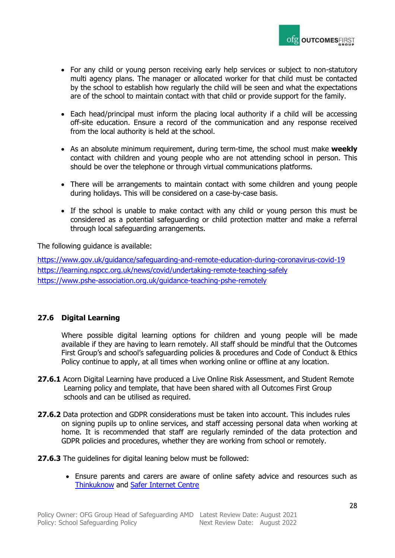

- For any child or young person receiving early help services or subject to non-statutory multi agency plans. The manager or allocated worker for that child must be contacted by the school to establish how regularly the child will be seen and what the expectations are of the school to maintain contact with that child or provide support for the family.
- Each head/principal must inform the placing local authority if a child will be accessing off-site education. Ensure a record of the communication and any response received from the local authority is held at the school.
- As an absolute minimum requirement, during term-time, the school must make **weekly** contact with children and young people who are not attending school in person. This should be over the telephone or through virtual communications platforms.
- There will be arrangements to maintain contact with some children and young people during holidays. This will be considered on a case-by-case basis.
- If the school is unable to make contact with any child or young person this must be considered as a potential safeguarding or child protection matter and make a referral through local safeguarding arrangements.

The following guidance is available:

<https://www.gov.uk/guidance/safeguarding-and-remote-education-during-coronavirus-covid-19> <https://learning.nspcc.org.uk/news/covid/undertaking-remote-teaching-safely> <https://www.pshe-association.org.uk/guidance-teaching-pshe-remotely>

## **27.6 Digital Learning**

Where possible digital learning options for children and young people will be made available if they are having to learn remotely. All staff should be mindful that the Outcomes First Group's and school's safeguarding policies & procedures and Code of Conduct & Ethics Policy continue to apply, at all times when working online or offline at any location.

- **27.6.1** Acorn Digital Learning have produced a Live Online Risk Assessment, and Student Remote Learning policy and template, that have been shared with all Outcomes First Group schools and can be utilised as required.
- **27.6.2** Data protection and GDPR considerations must be taken into account. This includes rules on signing pupils up to online services, and staff accessing personal data when working at home. It is recommended that staff are regularly reminded of the data protection and GDPR policies and procedures, whether they are working from school or remotely.
- **27.6.3** The guidelines for digital leaning below must be followed:
	- Ensure parents and carers are aware of online safety advice and resources such as [Thinkuknow](https://www.thinkuknow.co.uk/) and [Safer Internet Centre](https://www.saferinternet.org.uk/)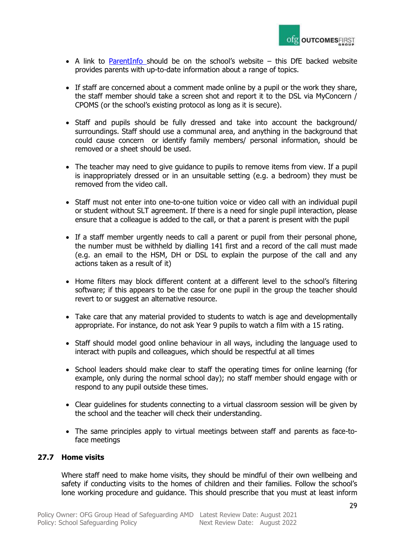

- A link to [ParentInfo](https://parentinfo.org/) should be on the school's website  $-$  this DfE backed website provides parents with up-to-date information about a range of topics.
- If staff are concerned about a comment made online by a pupil or the work they share, the staff member should take a screen shot and report it to the DSL via MyConcern / CPOMS (or the school's existing protocol as long as it is secure).
- Staff and pupils should be fully dressed and take into account the background/ surroundings. Staff should use a communal area, and anything in the background that could cause concern or identify family members/ personal information, should be removed or a sheet should be used.
- The teacher may need to give guidance to pupils to remove items from view. If a pupil is inappropriately dressed or in an unsuitable setting (e.g. a bedroom) they must be removed from the video call.
- Staff must not enter into one-to-one tuition voice or video call with an individual pupil or student without SLT agreement. If there is a need for single pupil interaction, please ensure that a colleague is added to the call, or that a parent is present with the pupil
- If a staff member urgently needs to call a parent or pupil from their personal phone, the number must be withheld by dialling 141 first and a record of the call must made (e.g. an email to the HSM, DH or DSL to explain the purpose of the call and any actions taken as a result of it)
- Home filters may block different content at a different level to the school's filtering software; if this appears to be the case for one pupil in the group the teacher should revert to or suggest an alternative resource.
- Take care that any material provided to students to watch is age and developmentally appropriate. For instance, do not ask Year 9 pupils to watch a film with a 15 rating.
- Staff should model good online behaviour in all ways, including the language used to interact with pupils and colleagues, which should be respectful at all times
- School leaders should make clear to staff the operating times for online learning (for example, only during the normal school day); no staff member should engage with or respond to any pupil outside these times.
- Clear guidelines for students connecting to a virtual classroom session will be given by the school and the teacher will check their understanding.
- The same principles apply to virtual meetings between staff and parents as face-toface meetings

#### **27.7 Home visits**

Where staff need to make home visits, they should be mindful of their own wellbeing and safety if conducting visits to the homes of children and their families. Follow the school's lone working procedure and guidance. This should prescribe that you must at least inform